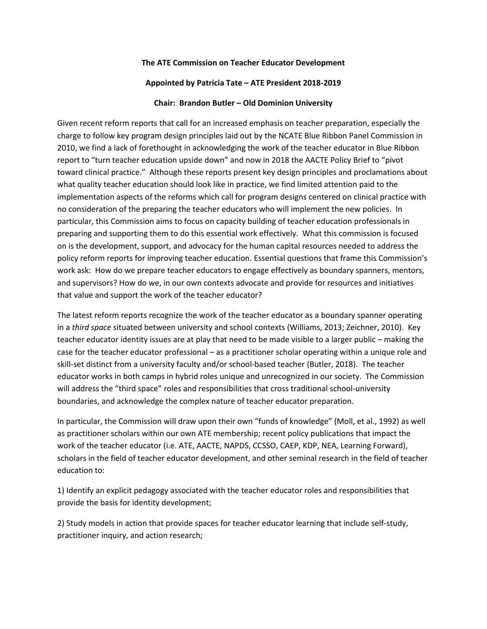## **The ATE Commission on Teacher Educator Development**

## **Appointed by Patricia Tate – ATE President 2018-2019**

## **Chair: Brandon Butler – Old Dominion University**

Given recent reform reports that call for an increased emphasis on teacher preparation, especially the charge to follow key program design principles laid out by the NCATE Blue Ribbon Panel Commission in 2010, we find a lack of forethought in acknowledging the work of the teacher educator in Blue Ribbon report to "turn teacher education upside down" and now in 2018 the AACTE Policy Brief to "pivot toward clinical practice." Although these reports present key design principles and proclamations about what quality teacher education should look like in practice, we find limited attention paid to the implementation aspects of the reforms which call for program designs centered on clinical practice with no consideration of the preparing the teacher educators who will implement the new policies. In particular, this Commission aims to focus on capacity building of teacher education professionals in preparing and supporting them to do this essential work effectively. What this commission is focused on is the development, support, and advocacy for the human capital resources needed to address the policy reform reports for improving teacher education. Essential questions that frame this Commission's work ask: How do we prepare teacher educators to engage effectively as boundary spanners, mentors, and supervisors? How do we, in our own contexts advocate and provide for resources and initiatives that value and support the work of the teacher educator?

The latest reform reports recognize the work of the teacher educator as a boundary spanner operating in a *third space* situated between university and school contexts (Williams, 2013; Zeichner, 2010). Key teacher educator identity issues are at play that need to be made visible to a larger public – making the case for the teacher educator professional – as a practitioner scholar operating within a unique role and skill-set distinct from a university faculty and/or school-based teacher (Butler, 2018). The teacher educator works in both camps in hybrid roles unique and unrecognized in our society. The Commission will address the "third space" roles and responsibilities that cross traditional school-university boundaries, and acknowledge the complex nature of teacher educator preparation.

In particular, the Commission will draw upon their own "funds of knowledge" (Moll, et al., 1992) as well as practitioner scholars within our own ATE membership; recent policy publications that impact the work of the teacher educator (i.e. ATE, AACTE, NAPDS, CCSSO, CAEP, KDP, NEA, Learning Forward), scholars in the field of teacher educator development, and other seminal research in the field of teacher education to:

1) Identify an explicit pedagogy associated with the teacher educator roles and responsibilities that provide the basis for identity development;

2) Study models in action that provide spaces for teacher educator learning that include self-study, practitioner inquiry, and action research;